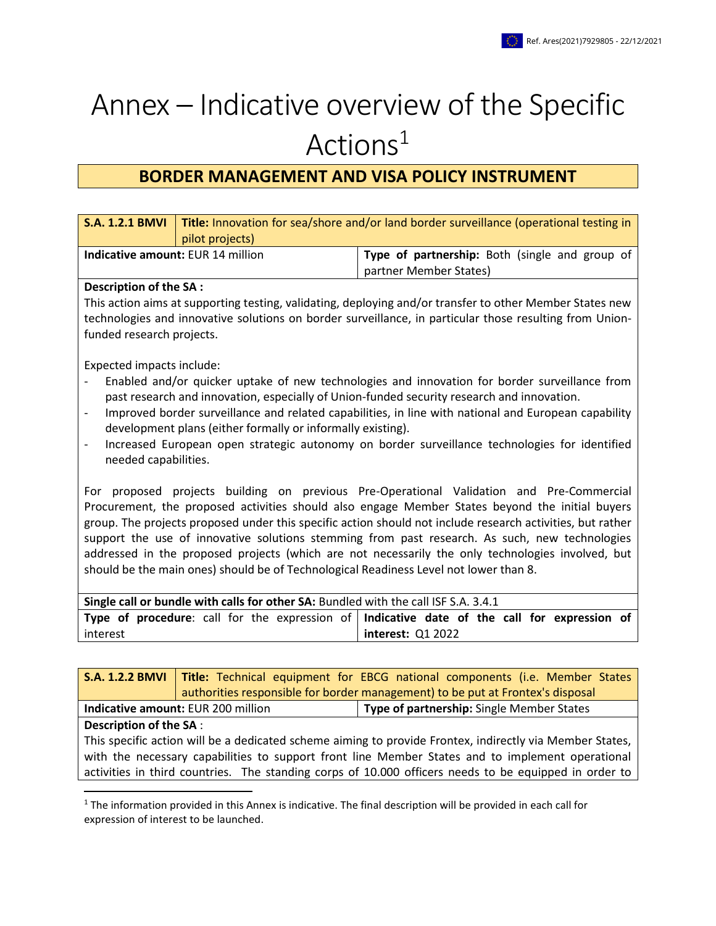# Annex – Indicative overview of the Specific Actions<sup>1</sup>

# **BORDER MANAGEMENT AND VISA POLICY INSTRUMENT**

| <b>S.A. 1.2.1 BMVI</b>                                                                                                                                                                                       | Title: Innovation for sea/shore and/or land border surveillance (operational testing in |                                                                                                          |  |  |
|--------------------------------------------------------------------------------------------------------------------------------------------------------------------------------------------------------------|-----------------------------------------------------------------------------------------|----------------------------------------------------------------------------------------------------------|--|--|
|                                                                                                                                                                                                              | pilot projects)                                                                         |                                                                                                          |  |  |
| Indicative amount: EUR 14 million                                                                                                                                                                            |                                                                                         | Type of partnership: Both (single and group of                                                           |  |  |
|                                                                                                                                                                                                              |                                                                                         | partner Member States)                                                                                   |  |  |
| Description of the SA :                                                                                                                                                                                      |                                                                                         |                                                                                                          |  |  |
|                                                                                                                                                                                                              |                                                                                         | This action aims at supporting testing, validating, deploying and/or transfer to other Member States new |  |  |
|                                                                                                                                                                                                              |                                                                                         | technologies and innovative solutions on border surveillance, in particular those resulting from Union-  |  |  |
| funded research projects.                                                                                                                                                                                    |                                                                                         |                                                                                                          |  |  |
|                                                                                                                                                                                                              |                                                                                         |                                                                                                          |  |  |
| Expected impacts include:                                                                                                                                                                                    |                                                                                         |                                                                                                          |  |  |
|                                                                                                                                                                                                              |                                                                                         | Enabled and/or quicker uptake of new technologies and innovation for border surveillance from            |  |  |
|                                                                                                                                                                                                              |                                                                                         | past research and innovation, especially of Union-funded security research and innovation.               |  |  |
| $\qquad \qquad \blacksquare$                                                                                                                                                                                 |                                                                                         | Improved border surveillance and related capabilities, in line with national and European capability     |  |  |
|                                                                                                                                                                                                              | development plans (either formally or informally existing).                             |                                                                                                          |  |  |
| $\qquad \qquad -$                                                                                                                                                                                            |                                                                                         | Increased European open strategic autonomy on border surveillance technologies for identified            |  |  |
|                                                                                                                                                                                                              | needed capabilities.                                                                    |                                                                                                          |  |  |
| For proposed projects building on previous Pre-Operational Validation and Pre-Commercial                                                                                                                     |                                                                                         |                                                                                                          |  |  |
|                                                                                                                                                                                                              |                                                                                         |                                                                                                          |  |  |
| Procurement, the proposed activities should also engage Member States beyond the initial buyers                                                                                                              |                                                                                         |                                                                                                          |  |  |
| group. The projects proposed under this specific action should not include research activities, but rather<br>support the use of innovative solutions stemming from past research. As such, new technologies |                                                                                         |                                                                                                          |  |  |
| addressed in the proposed projects (which are not necessarily the only technologies involved, but                                                                                                            |                                                                                         |                                                                                                          |  |  |
| should be the main ones) should be of Technological Readiness Level not lower than 8.                                                                                                                        |                                                                                         |                                                                                                          |  |  |
|                                                                                                                                                                                                              |                                                                                         |                                                                                                          |  |  |
| Single call or bundle with calls for other SA: Bundled with the call ISF S.A. 3.4.1                                                                                                                          |                                                                                         |                                                                                                          |  |  |
|                                                                                                                                                                                                              | Type of procedure: call for the expression of                                           | Indicative date of the call for expression of                                                            |  |  |
| interest                                                                                                                                                                                                     |                                                                                         | interest: Q1 2022                                                                                        |  |  |
|                                                                                                                                                                                                              |                                                                                         |                                                                                                          |  |  |
| SA 122 BMVI                                                                                                                                                                                                  |                                                                                         | Title: Technical equinment for FRCG national components (i.e. Member States)                             |  |  |

|                                                                                                        |  | <b>S.A. 1.2.2 BMVI</b> Title: Technical equipment for EBCG national components (i.e. Member States |
|--------------------------------------------------------------------------------------------------------|--|----------------------------------------------------------------------------------------------------|
|                                                                                                        |  | authorities responsible for border management) to be put at Frontex's disposal                     |
| Indicative amount: EUR 200 million                                                                     |  | <b>Type of partnership:</b> Single Member States                                                   |
| <b>Description of the SA:</b>                                                                          |  |                                                                                                    |
| This specific action will be a dedicated schome aiming to provide Frontey indiractly via Member States |  |                                                                                                    |

This specific action will be a dedicated scheme aiming to provide Frontex, indirectly via Member States, with the necessary capabilities to support front line Member States and to implement operational activities in third countries. The standing corps of 10.000 officers needs to be equipped in order to

 $\overline{\phantom{a}}$ 

 $1$  The information provided in this Annex is indicative. The final description will be provided in each call for expression of interest to be launched.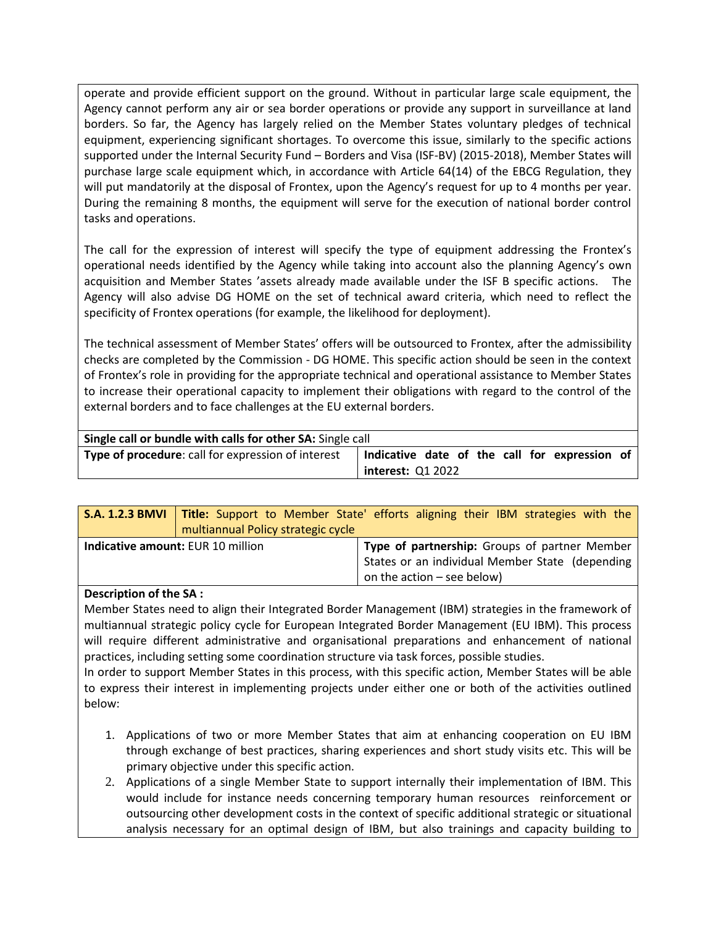operate and provide efficient support on the ground. Without in particular large scale equipment, the Agency cannot perform any air or sea border operations or provide any support in surveillance at land borders. So far, the Agency has largely relied on the Member States voluntary pledges of technical equipment, experiencing significant shortages. To overcome this issue, similarly to the specific actions supported under the Internal Security Fund – Borders and Visa (ISF-BV) (2015-2018), Member States will purchase large scale equipment which, in accordance with Article 64(14) of the EBCG Regulation, they will put mandatorily at the disposal of Frontex, upon the Agency's request for up to 4 months per year. During the remaining 8 months, the equipment will serve for the execution of national border control tasks and operations.

The call for the expression of interest will specify the type of equipment addressing the Frontex's operational needs identified by the Agency while taking into account also the planning Agency's own acquisition and Member States 'assets already made available under the ISF B specific actions. The Agency will also advise DG HOME on the set of technical award criteria, which need to reflect the specificity of Frontex operations (for example, the likelihood for deployment).

The technical assessment of Member States' offers will be outsourced to Frontex, after the admissibility checks are completed by the Commission - DG HOME. This specific action should be seen in the context of Frontex's role in providing for the appropriate technical and operational assistance to Member States to increase their operational capacity to implement their obligations with regard to the control of the external borders and to face challenges at the EU external borders.

| Single call or bundle with calls for other SA: Single call |                          |  |  |  |  |  |                                               |  |
|------------------------------------------------------------|--------------------------|--|--|--|--|--|-----------------------------------------------|--|
| Type of procedure: call for expression of interest         |                          |  |  |  |  |  | Indicative date of the call for expression of |  |
|                                                            | <b>interest: Q1 2022</b> |  |  |  |  |  |                                               |  |

|                                          | multiannual Policy strategic cycle | <b>S.A. 1.2.3 BMVI</b> Title: Support to Member State' efforts aligning their IBM strategies with the |
|------------------------------------------|------------------------------------|-------------------------------------------------------------------------------------------------------|
| <b>Indicative amount: EUR 10 million</b> |                                    | Type of partnership: Groups of partner Member                                                         |
|                                          |                                    | States or an individual Member State (depending                                                       |
|                                          |                                    | on the action $-$ see below)                                                                          |

# **Description of the SA :**

Member States need to align their Integrated Border Management (IBM) strategies in the framework of multiannual strategic policy cycle for European Integrated Border Management (EU IBM). This process will require different administrative and organisational preparations and enhancement of national practices, including setting some coordination structure via task forces, possible studies.

In order to support Member States in this process, with this specific action, Member States will be able to express their interest in implementing projects under either one or both of the activities outlined below:

- 1. Applications of two or more Member States that aim at enhancing cooperation on EU IBM through exchange of best practices, sharing experiences and short study visits etc. This will be primary objective under this specific action.
- 2. Applications of a single Member State to support internally their implementation of IBM. This would include for instance needs concerning temporary human resources reinforcement or outsourcing other development costs in the context of specific additional strategic or situational analysis necessary for an optimal design of IBM, but also trainings and capacity building to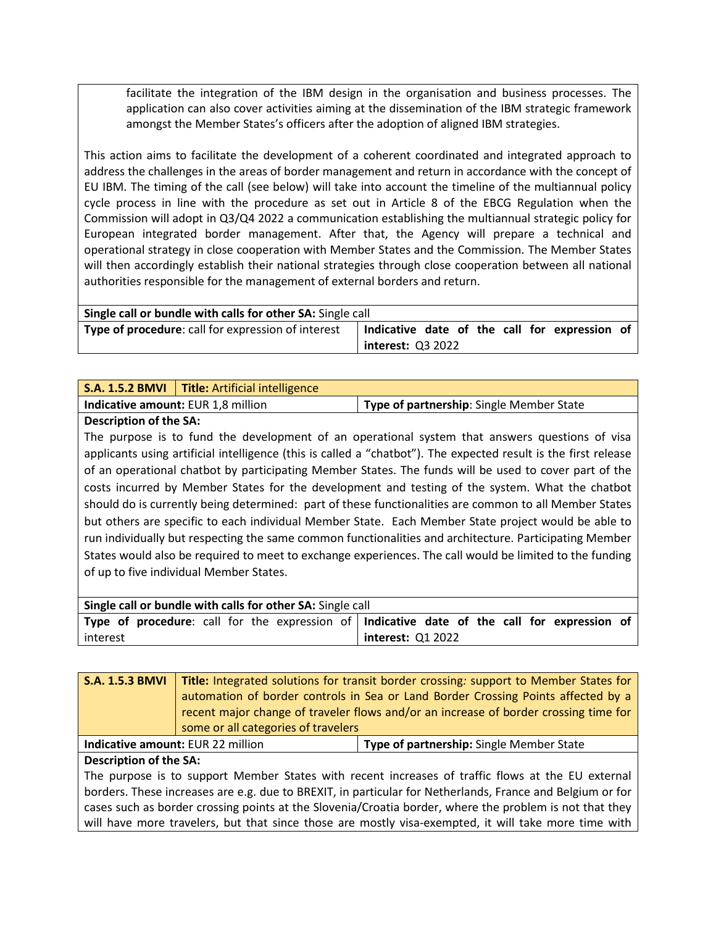facilitate the integration of the IBM design in the organisation and business processes. The application can also cover activities aiming at the dissemination of the IBM strategic framework amongst the Member States's officers after the adoption of aligned IBM strategies.

This action aims to facilitate the development of a coherent coordinated and integrated approach to address the challenges in the areas of border management and return in accordance with the concept of EU IBM. The timing of the call (see below) will take into account the timeline of the multiannual policy cycle process in line with the procedure as set out in Article 8 of the EBCG Regulation when the Commission will adopt in Q3/Q4 2022 a communication establishing the multiannual strategic policy for European integrated border management. After that, the Agency will prepare a technical and operational strategy in close cooperation with Member States and the Commission. The Member States will then accordingly establish their national strategies through close cooperation between all national authorities responsible for the management of external borders and return.

| Single call or bundle with calls for other SA: Single call |                                               |  |  |
|------------------------------------------------------------|-----------------------------------------------|--|--|
| Type of procedure: call for expression of interest         | Indicative date of the call for expression of |  |  |
|                                                            | <b>interest: Q3 2022</b>                      |  |  |

|                                    | <b>S.A. 1.5.2 BMVI</b>   Title: Artificial intelligence |                                          |
|------------------------------------|---------------------------------------------------------|------------------------------------------|
| Indicative amount: EUR 1,8 million |                                                         | Type of partnership: Single Member State |
|                                    |                                                         |                                          |

**Description of the SA:** 

The purpose is to fund the development of an operational system that answers questions of visa applicants using artificial intelligence (this is called a "chatbot"). The expected result is the first release of an operational chatbot by participating Member States. The funds will be used to cover part of the costs incurred by Member States for the development and testing of the system. What the chatbot should do is currently being determined: part of these functionalities are common to all Member States but others are specific to each individual Member State. Each Member State project would be able to run individually but respecting the same common functionalities and architecture. Participating Member States would also be required to meet to exchange experiences. The call would be limited to the funding of up to five individual Member States.

| Single call or bundle with calls for other SA: Single call                                  |                   |  |  |  |
|---------------------------------------------------------------------------------------------|-------------------|--|--|--|
| Type of procedure: call for the expression of Indicative date of the call for expression of |                   |  |  |  |
| interest                                                                                    | interest: Q1 2022 |  |  |  |

| <b>S.A. 1.5.3 BMVI</b>                                                                                    | Title: Integrated solutions for transit border crossing: support to Member States for<br>automation of border controls in Sea or Land Border Crossing Points affected by a<br>recent major change of traveler flows and/or an increase of border crossing time for |  |  |  |
|-----------------------------------------------------------------------------------------------------------|--------------------------------------------------------------------------------------------------------------------------------------------------------------------------------------------------------------------------------------------------------------------|--|--|--|
|                                                                                                           | some or all categories of travelers                                                                                                                                                                                                                                |  |  |  |
|                                                                                                           | Indicative amount: EUR 22 million<br>Type of partnership: Single Member State                                                                                                                                                                                      |  |  |  |
| <b>Description of the SA:</b>                                                                             |                                                                                                                                                                                                                                                                    |  |  |  |
| The purpose is to support Member States with recent increases of traffic flows at the EU external         |                                                                                                                                                                                                                                                                    |  |  |  |
| borders. These increases are e.g. due to BREXIT, in particular for Netherlands, France and Belgium or for |                                                                                                                                                                                                                                                                    |  |  |  |
| cases such as border crossing points at the Slovenia/Croatia border, where the problem is not that they   |                                                                                                                                                                                                                                                                    |  |  |  |
| will have more travelers, but that since those are mostly visa-exempted, it will take more time with      |                                                                                                                                                                                                                                                                    |  |  |  |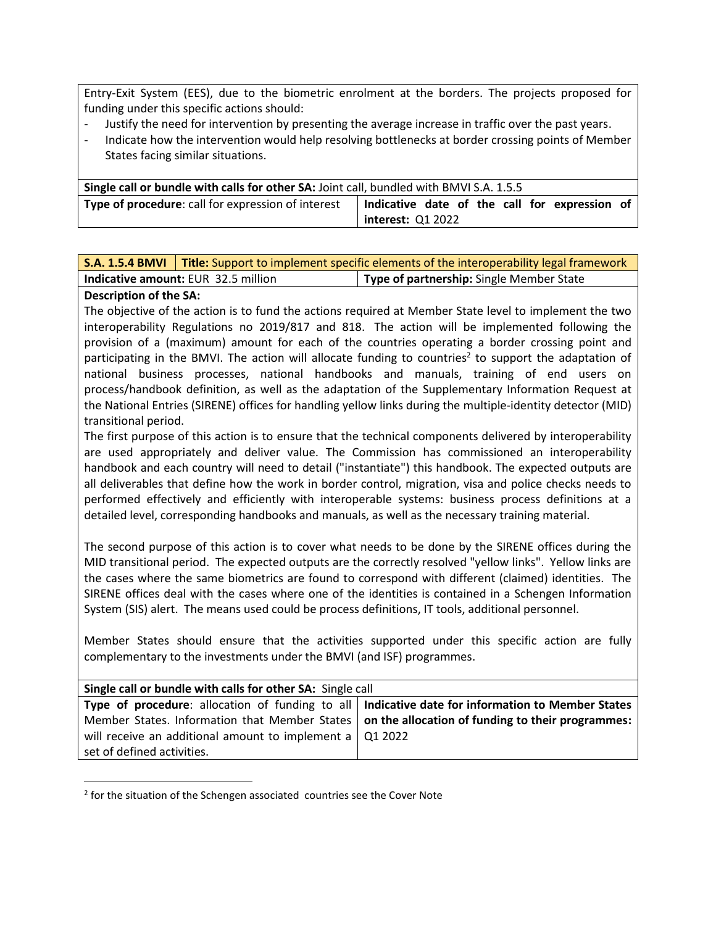Entry-Exit System (EES), due to the biometric enrolment at the borders. The projects proposed for funding under this specific actions should:

- Justify the need for intervention by presenting the average increase in traffic over the past years.
- Indicate how the intervention would help resolving bottlenecks at border crossing points of Member States facing similar situations.

| Single call or bundle with calls for other SA: Joint call, bundled with BMVI S.A. 1.5.5 |                                               |  |
|-----------------------------------------------------------------------------------------|-----------------------------------------------|--|
| <b>Type of procedure:</b> call for expression of interest                               | Indicative date of the call for expression of |  |
|                                                                                         | interest: Q1 2022                             |  |

|                                            | <b>S.A. 1.5.4 BMVI</b>   Title: Support to implement specific elements of the interoperability legal framework |                                          |  |
|--------------------------------------------|----------------------------------------------------------------------------------------------------------------|------------------------------------------|--|
| <b>Indicative amount: EUR 32.5 million</b> |                                                                                                                | Type of partnership: Single Member State |  |

### **Description of the SA:**

l

The objective of the action is to fund the actions required at Member State level to implement the two interoperability Regulations no 2019/817 and 818. The action will be implemented following the provision of a (maximum) amount for each of the countries operating a border crossing point and participating in the BMVI. The action will allocate funding to countries<sup>2</sup> to support the adaptation of national business processes, national handbooks and manuals, training of end users on process/handbook definition, as well as the adaptation of the Supplementary Information Request at the National Entries (SIRENE) offices for handling yellow links during the multiple-identity detector (MID) transitional period.

The first purpose of this action is to ensure that the technical components delivered by interoperability are used appropriately and deliver value. The Commission has commissioned an interoperability handbook and each country will need to detail ("instantiate") this handbook. The expected outputs are all deliverables that define how the work in border control, migration, visa and police checks needs to performed effectively and efficiently with interoperable systems: business process definitions at a detailed level, corresponding handbooks and manuals, as well as the necessary training material.

The second purpose of this action is to cover what needs to be done by the SIRENE offices during the MID transitional period. The expected outputs are the correctly resolved "yellow links". Yellow links are the cases where the same biometrics are found to correspond with different (claimed) identities. The SIRENE offices deal with the cases where one of the identities is contained in a Schengen Information System (SIS) alert. The means used could be process definitions, IT tools, additional personnel.

Member States should ensure that the activities supported under this specific action are fully complementary to the investments under the BMVI (and ISF) programmes.

| Single call or bundle with calls for other SA: Single call                                              |  |  |
|---------------------------------------------------------------------------------------------------------|--|--|
| Type of procedure: allocation of funding to all   Indicative date for information to Member States      |  |  |
| Member States. Information that Member States $\vert$ on the allocation of funding to their programmes: |  |  |
| will receive an additional amount to implement a $\sqrt{$ Q1 2022                                       |  |  |
| set of defined activities.                                                                              |  |  |

<sup>&</sup>lt;sup>2</sup> for the situation of the Schengen associated countries see the Cover Note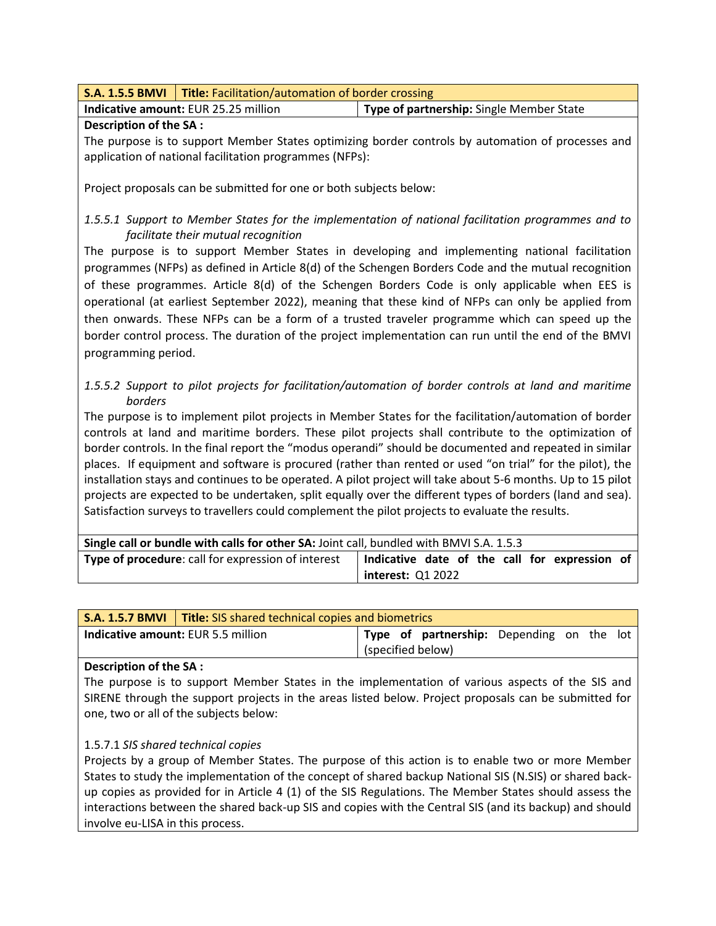|                                             | <b>S.A. 1.5.5 BMVI</b>   Title: Facilitation/automation of border crossing |                                          |  |
|---------------------------------------------|----------------------------------------------------------------------------|------------------------------------------|--|
| <b>Indicative amount: EUR 25.25 million</b> |                                                                            | Type of partnership: Single Member State |  |

### **Description of the SA :**

The purpose is to support Member States optimizing border controls by automation of processes and application of national facilitation programmes (NFPs):

Project proposals can be submitted for one or both subjects below:

# *1.5.5.1 Support to Member States for the implementation of national facilitation programmes and to facilitate their mutual recognition*

The purpose is to support Member States in developing and implementing national facilitation programmes (NFPs) as defined in Article 8(d) of the Schengen Borders Code and the mutual recognition of these programmes. Article 8(d) of the Schengen Borders Code is only applicable when EES is operational (at earliest September 2022), meaning that these kind of NFPs can only be applied from then onwards. These NFPs can be a form of a trusted traveler programme which can speed up the border control process. The duration of the project implementation can run until the end of the BMVI programming period.

*1.5.5.2 Support to pilot projects for facilitation/automation of border controls at land and maritime borders*

The purpose is to implement pilot projects in Member States for the facilitation/automation of border controls at land and maritime borders. These pilot projects shall contribute to the optimization of border controls. In the final report the "modus operandi" should be documented and repeated in similar places. If equipment and software is procured (rather than rented or used "on trial" for the pilot), the installation stays and continues to be operated. A pilot project will take about 5-6 months. Up to 15 pilot projects are expected to be undertaken, split equally over the different types of borders (land and sea). Satisfaction surveys to travellers could complement the pilot projects to evaluate the results.

| Single call or bundle with calls for other SA: Joint call, bundled with BMVI S.A. 1.5.3 |                                               |
|-----------------------------------------------------------------------------------------|-----------------------------------------------|
| <b>Type of procedure:</b> call for expression of interest                               | Indicative date of the call for expression of |
|                                                                                         | interest: Q1 2022                             |

| <b>S.A. 1.5.7 BMVI</b> Title: SIS shared technical copies and biometrics |                                           |                   |  |                                           |  |  |  |
|--------------------------------------------------------------------------|-------------------------------------------|-------------------|--|-------------------------------------------|--|--|--|
|                                                                          | <b>Indicative amount: EUR 5.5 million</b> |                   |  | Type of partnership: Depending on the lot |  |  |  |
|                                                                          |                                           | (specified below) |  |                                           |  |  |  |

### **Description of the SA :**

The purpose is to support Member States in the implementation of various aspects of the SIS and SIRENE through the support projects in the areas listed below. Project proposals can be submitted for one, two or all of the subjects below:

# 1.5.7.1 *SIS shared technical copies*

Projects by a group of Member States. The purpose of this action is to enable two or more Member States to study the implementation of the concept of shared backup National SIS (N.SIS) or shared backup copies as provided for in Article 4 (1) of the SIS Regulations. The Member States should assess the interactions between the shared back-up SIS and copies with the Central SIS (and its backup) and should involve eu-LISA in this process.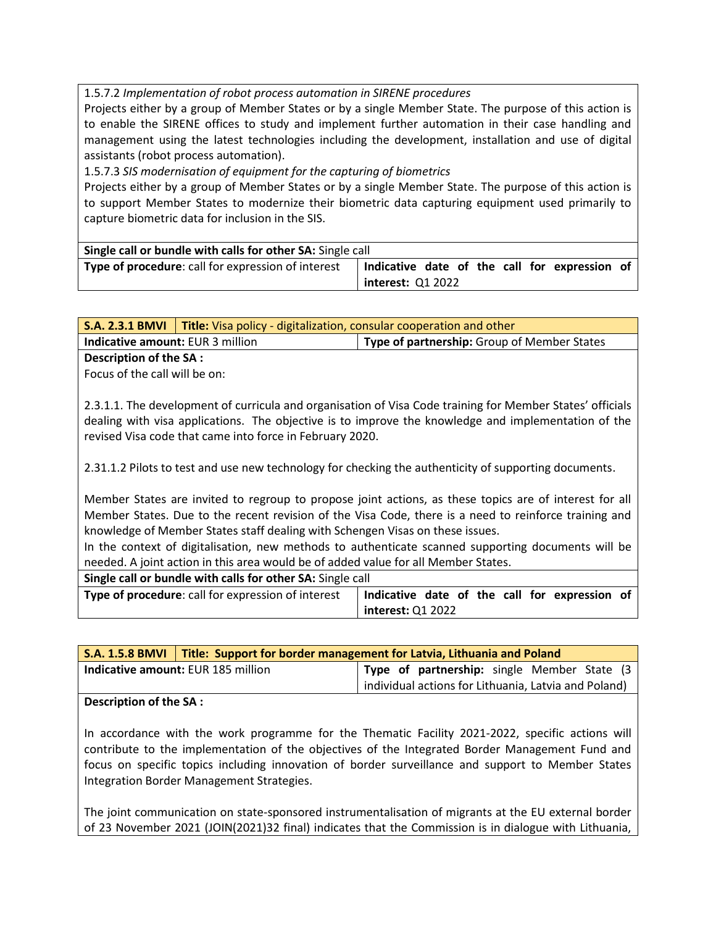1.5.7.2 *Implementation of robot process automation in SIRENE procedures*

Projects either by a group of Member States or by a single Member State. The purpose of this action is to enable the SIRENE offices to study and implement further automation in their case handling and management using the latest technologies including the development, installation and use of digital assistants (robot process automation).

1.5.7.3 *SIS modernisation of equipment for the capturing of biometrics*

Projects either by a group of Member States or by a single Member State. The purpose of this action is to support Member States to modernize their biometric data capturing equipment used primarily to capture biometric data for inclusion in the SIS.

| Single call or bundle with calls for other SA: Single call |                   |  |  |                                               |  |
|------------------------------------------------------------|-------------------|--|--|-----------------------------------------------|--|
| Type of procedure: call for expression of interest         |                   |  |  | Indicative date of the call for expression of |  |
|                                                            | interest: Q1 2022 |  |  |                                               |  |

**S.A. 2.3.1 BMVI Title:** Visa policy - digitalization, consular cooperation and other **Indicative amount:** EUR 3 million **Type of partnership:** Group of Member States

## **Description of the SA :**

Focus of the call will be on:

2.3.1.1. The development of curricula and organisation of Visa Code training for Member States' officials dealing with visa applications. The objective is to improve the knowledge and implementation of the revised Visa code that came into force in February 2020.

2.31.1.2 Pilots to test and use new technology for checking the authenticity of supporting documents.

Member States are invited to regroup to propose joint actions, as these topics are of interest for all Member States. Due to the recent revision of the Visa Code, there is a need to reinforce training and knowledge of Member States staff dealing with Schengen Visas on these issues.

In the context of digitalisation, new methods to authenticate scanned supporting documents will be needed. A joint action in this area would be of added value for all Member States.

| Single call or bundle with calls for other SA: Single call |                                               |
|------------------------------------------------------------|-----------------------------------------------|
| Type of procedure: call for expression of interest         | Indicative date of the call for expression of |
|                                                            | interest: Q1 2022                             |

| S.A. 1.5.8 BMVI   Title: Support for border management for Latvia, Lithuania and Poland |                                    |  |  |                                                      |  |  |  |
|-----------------------------------------------------------------------------------------|------------------------------------|--|--|------------------------------------------------------|--|--|--|
|                                                                                         | Indicative amount: EUR 185 million |  |  | Type of partnership: single Member State (3          |  |  |  |
|                                                                                         |                                    |  |  | individual actions for Lithuania, Latvia and Poland) |  |  |  |

### **Description of the SA :**

In accordance with the work programme for the Thematic Facility 2021-2022, specific actions will contribute to the implementation of the objectives of the Integrated Border Management Fund and focus on specific topics including innovation of border surveillance and support to Member States Integration Border Management Strategies.

The joint communication on state-sponsored instrumentalisation of migrants at the EU external border of 23 November 2021 (JOIN(2021)32 final) indicates that the Commission is in dialogue with Lithuania,